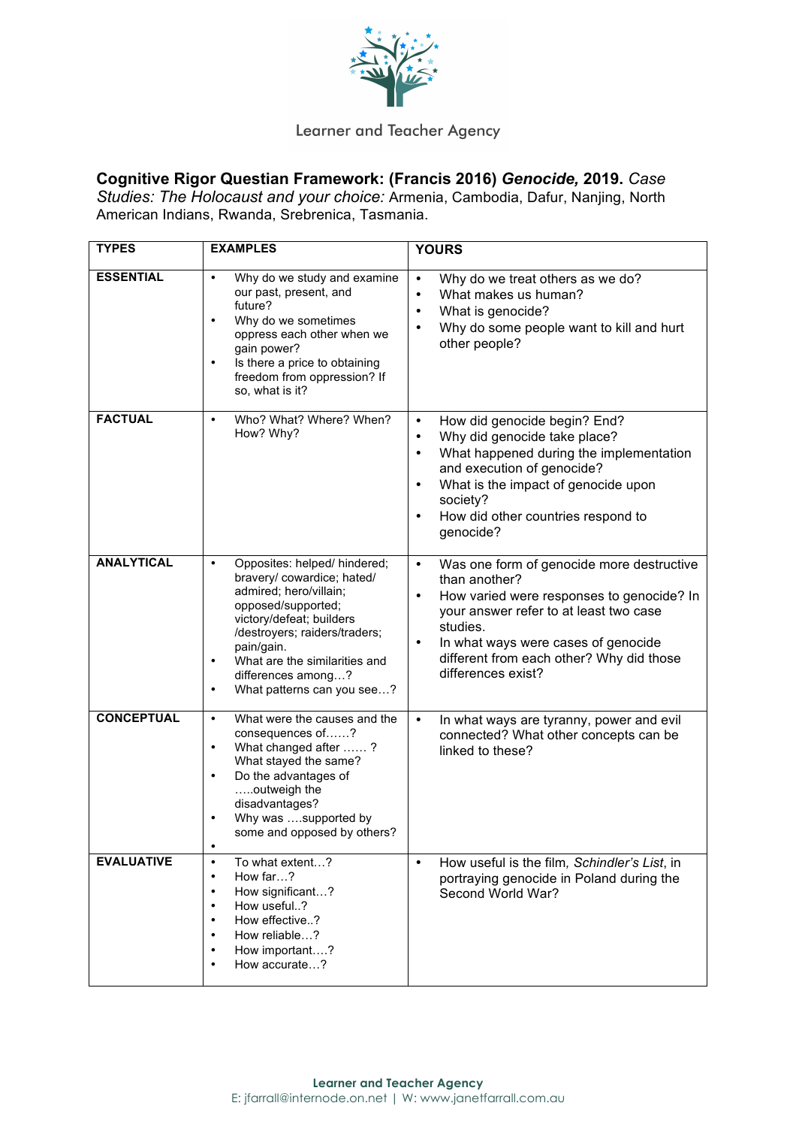

## Learner and Teacher Agency

## **Cognitive Rigor Questian Framework: (Francis 2016)** *Genocide,* **2019.** *Case*

*Studies: The Holocaust and your choice:* Armenia, Cambodia, Dafur, Nanjing, North American Indians, Rwanda, Srebrenica, Tasmania.

| <b>TYPES</b>      | <b>EXAMPLES</b>                                                                                                                                                                                                                                                                                   | <b>YOURS</b>                                                                                                                                                                                                                                                                                                 |
|-------------------|---------------------------------------------------------------------------------------------------------------------------------------------------------------------------------------------------------------------------------------------------------------------------------------------------|--------------------------------------------------------------------------------------------------------------------------------------------------------------------------------------------------------------------------------------------------------------------------------------------------------------|
| <b>ESSENTIAL</b>  | Why do we study and examine<br>$\bullet$<br>our past, present, and<br>future?<br>Why do we sometimes<br>٠<br>oppress each other when we<br>gain power?<br>Is there a price to obtaining<br>$\bullet$<br>freedom from oppression? If<br>so, what is it?                                            | Why do we treat others as we do?<br>$\bullet$<br>What makes us human?<br>$\bullet$<br>What is genocide?<br>Why do some people want to kill and hurt<br>other people?                                                                                                                                         |
| <b>FACTUAL</b>    | Who? What? Where? When?<br>$\bullet$<br>How? Why?                                                                                                                                                                                                                                                 | How did genocide begin? End?<br>$\bullet$<br>Why did genocide take place?<br>$\bullet$<br>What happened during the implementation<br>$\bullet$<br>and execution of genocide?<br>What is the impact of genocide upon<br>$\bullet$<br>society?<br>How did other countries respond to<br>$\bullet$<br>genocide? |
| <b>ANALYTICAL</b> | Opposites: helped/ hindered;<br>٠<br>bravery/ cowardice; hated/<br>admired; hero/villain;<br>opposed/supported;<br>victory/defeat; builders<br>/destroyers; raiders/traders;<br>pain/gain.<br>What are the similarities and<br>$\bullet$<br>differences among?<br>What patterns can you see?<br>٠ | Was one form of genocide more destructive<br>$\bullet$<br>than another?<br>How varied were responses to genocide? In<br>$\bullet$<br>your answer refer to at least two case<br>studies.<br>In what ways were cases of genocide<br>٠<br>different from each other? Why did those<br>differences exist?        |
| <b>CONCEPTUAL</b> | What were the causes and the<br>$\bullet$<br>consequences of?<br>What changed after ?<br>٠<br>What stayed the same?<br>Do the advantages of<br>٠<br>outweigh the<br>disadvantages?<br>Why was supported by<br>some and opposed by others?<br>$\bullet$                                            | $\bullet$<br>In what ways are tyranny, power and evil<br>connected? What other concepts can be<br>linked to these?                                                                                                                                                                                           |
| <b>EVALUATIVE</b> | To what extent?<br>$\bullet$<br>How far?<br>$\bullet$<br>How significant?<br>$\bullet$<br>How useful?<br>$\bullet$<br>How effective?<br>$\bullet$<br>How reliable?<br>$\bullet$<br>How important?<br>$\bullet$<br>How accurate?<br>٠                                                              | How useful is the film, Schindler's List, in<br>$\bullet$<br>portraying genocide in Poland during the<br>Second World War?                                                                                                                                                                                   |